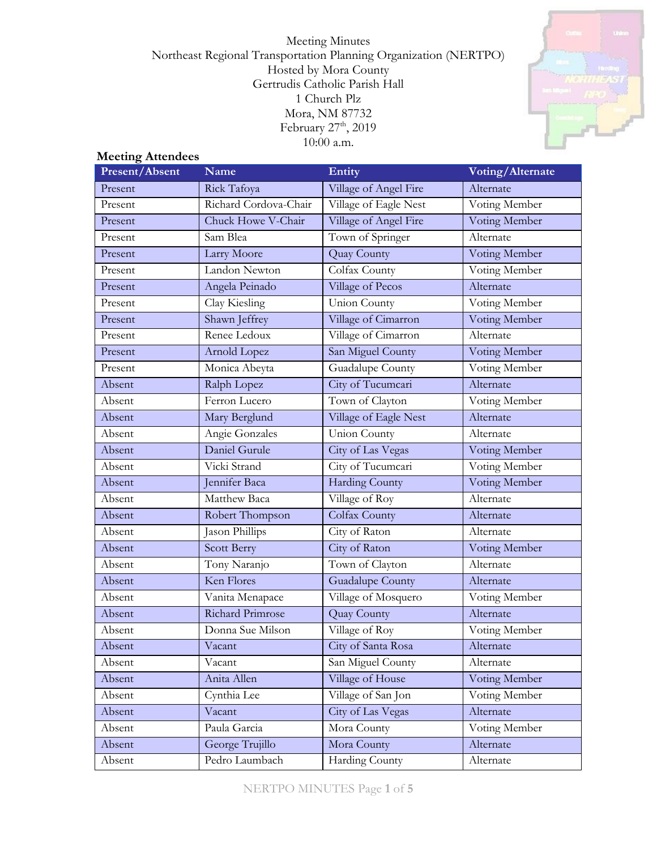Meeting Minutes Northeast Regional Transportation Planning Organization (NERTPO) Hosted by Mora County Gertrudis Catholic Parish Hall 1 Church Plz Mora, NM 87732 February 27<sup>th</sup>, 2019 10:00 a.m.



# **Meeting Attendees**

| Present/Absent | <b>Name</b>           | Entity                  | Voting/Alternate |
|----------------|-----------------------|-------------------------|------------------|
| Present        | Rick Tafoya           | Village of Angel Fire   | Alternate        |
| Present        | Richard Cordova-Chair | Village of Eagle Nest   | Voting Member    |
| Present        | Chuck Howe V-Chair    | Village of Angel Fire   | Voting Member    |
| Present        | Sam Blea              | Town of Springer        | Alternate        |
| Present        | Larry Moore           | Quay County             | Voting Member    |
| Present        | Landon Newton         | Colfax County           | Voting Member    |
| Present        | Angela Peinado        | Village of Pecos        | Alternate        |
| Present        | Clay Kiesling         | Union County            | Voting Member    |
| Present        | Shawn Jeffrey         | Village of Cimarron     | Voting Member    |
| Present        | Renee Ledoux          | Village of Cimarron     | Alternate        |
| Present        | Arnold Lopez          | San Miguel County       | Voting Member    |
| Present        | Monica Abeyta         | Guadalupe County        | Voting Member    |
| Absent         | Ralph Lopez           | City of Tucumcari       | Alternate        |
| Absent         | Ferron Lucero         | Town of Clayton         | Voting Member    |
| Absent         | Mary Berglund         | Village of Eagle Nest   | Alternate        |
| Absent         | Angie Gonzales        | Union County            | Alternate        |
| Absent         | Daniel Gurule         | City of Las Vegas       | Voting Member    |
| Absent         | Vicki Strand          | City of Tucumcari       | Voting Member    |
| Absent         | Jennifer Baca         | <b>Harding County</b>   | Voting Member    |
| Absent         | Matthew Baca          | Village of Roy          | Alternate        |
| Absent         | Robert Thompson       | Colfax County           | Alternate        |
| Absent         | Jason Phillips        | City of Raton           | Alternate        |
| Absent         | <b>Scott Berry</b>    | City of Raton           | Voting Member    |
| Absent         | Tony Naranjo          | Town of Clayton         | Alternate        |
| Absent         | Ken Flores            | <b>Guadalupe County</b> | Alternate        |
| Absent         | Vanita Menapace       | Village of Mosquero     | Voting Member    |
| Absent         | Richard Primrose      | Quay County             | Alternate        |
| Absent         | Donna Sue Milson      | Village of Roy          | Voting Member    |
| Absent         | Vacant                | City of Santa Rosa      | Alternate        |
| Absent         | Vacant                | San Miguel County       | Alternate        |
| Absent         | Anita Allen           | Village of House        | Voting Member    |
| Absent         | Cynthia Lee           | Village of San Jon      | Voting Member    |
| Absent         | Vacant                | City of Las Vegas       | Alternate        |
| Absent         | Paula Garcia          | Mora County             | Voting Member    |
| Absent         | George Trujillo       | Mora County             | Alternate        |
| Absent         | Pedro Laumbach        | Harding County          | Alternate        |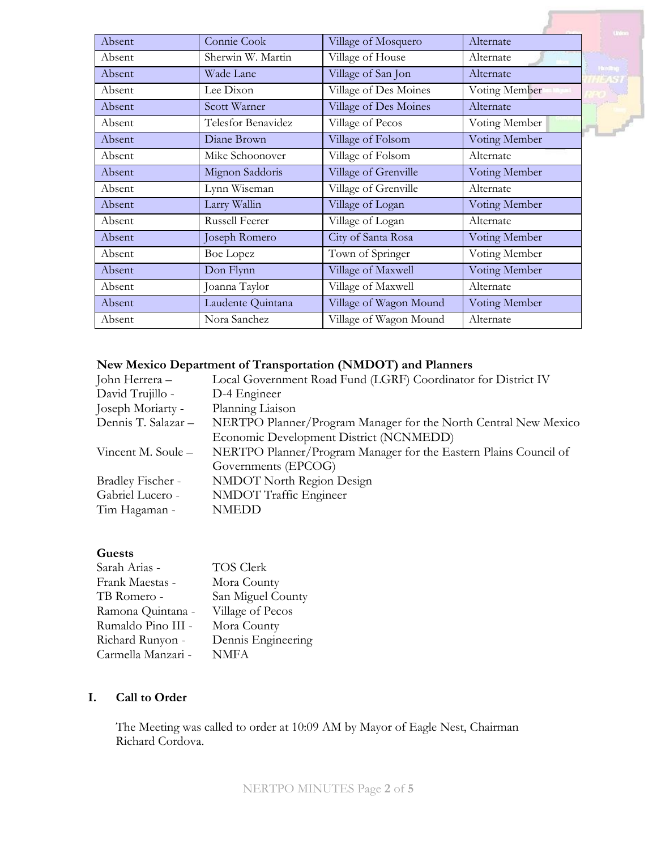|        |                    |                        |               | <b>United</b> |
|--------|--------------------|------------------------|---------------|---------------|
| Absent | Connie Cook        | Village of Mosquero    | Alternate     |               |
| Absent | Sherwin W. Martin  | Village of House       | Alternate     |               |
| Absent | Wade Lane          | Village of San Jon     | Alternate     | <b>Thomas</b> |
| Absent | Lee Dixon          | Village of Des Moines  | Voting Member |               |
| Absent | Scott Warner       | Village of Des Moines  | Alternate     |               |
| Absent | Telesfor Benavidez | Village of Pecos       | Voting Member |               |
| Absent | Diane Brown        | Village of Folsom      | Voting Member |               |
| Absent | Mike Schoonover    | Village of Folsom      | Alternate     |               |
| Absent | Mignon Saddoris    | Village of Grenville   | Voting Member |               |
| Absent | Lynn Wiseman       | Village of Grenville   | Alternate     |               |
| Absent | Larry Wallin       | Village of Logan       | Voting Member |               |
| Absent | Russell Feerer     | Village of Logan       | Alternate     |               |
| Absent | Joseph Romero      | City of Santa Rosa     | Voting Member |               |
| Absent | <b>Boe Lopez</b>   | Town of Springer       | Voting Member |               |
| Absent | Don Flynn          | Village of Maxwell     | Voting Member |               |
| Absent | Joanna Taylor      | Village of Maxwell     | Alternate     |               |
| Absent | Laudente Quintana  | Village of Wagon Mound | Voting Member |               |
| Absent | Nora Sanchez       | Village of Wagon Mound | Alternate     |               |

# **New Mexico Department of Transportation (NMDOT) and Planners**

| John Herrera –      | Local Government Road Fund (LGRF) Coordinator for District IV    |
|---------------------|------------------------------------------------------------------|
| David Trujillo -    | D-4 Engineer                                                     |
| Joseph Moriarty -   | Planning Liaison                                                 |
| Dennis T. Salazar - | NERTPO Planner/Program Manager for the North Central New Mexico  |
|                     | Economic Development District (NCNMEDD)                          |
| Vincent M. Soule –  | NERTPO Planner/Program Manager for the Eastern Plains Council of |
|                     | Governments (EPCOG)                                              |
| Bradley Fischer -   | <b>NMDOT</b> North Region Design                                 |
| Gabriel Lucero -    | NMDOT Traffic Engineer                                           |
| Tim Hagaman -       | <b>NMEDD</b>                                                     |
|                     |                                                                  |

### **Guests**

| Sarah Arias -      | TOS Clerk          |
|--------------------|--------------------|
| Frank Maestas -    | Mora County        |
| TB Romero -        | San Miguel County  |
| Ramona Quintana -  | Village of Pecos   |
| Rumaldo Pino III - | Mora County        |
| Richard Runyon -   | Dennis Engineering |
| Carmella Manzari - | <b>NMFA</b>        |

# **I. Call to Order**

The Meeting was called to order at 10:09 AM by Mayor of Eagle Nest, Chairman Richard Cordova.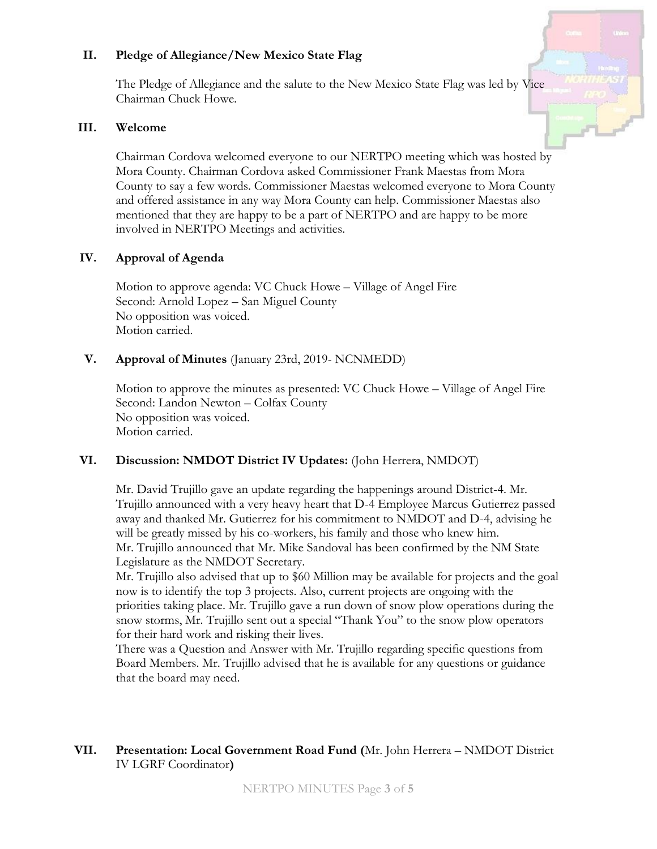#### **II. Pledge of Allegiance/New Mexico State Flag**

The Pledge of Allegiance and the salute to the New Mexico State Flag was led by Vice Chairman Chuck Howe.

#### **III. Welcome**

Chairman Cordova welcomed everyone to our NERTPO meeting which was hosted by Mora County. Chairman Cordova asked Commissioner Frank Maestas from Mora County to say a few words. Commissioner Maestas welcomed everyone to Mora County and offered assistance in any way Mora County can help. Commissioner Maestas also mentioned that they are happy to be a part of NERTPO and are happy to be more involved in NERTPO Meetings and activities.

### **IV. Approval of Agenda**

Motion to approve agenda: VC Chuck Howe – Village of Angel Fire Second: Arnold Lopez – San Miguel County No opposition was voiced. Motion carried.

### **V. Approval of Minutes** (January 23rd, 2019- NCNMEDD)

Motion to approve the minutes as presented: VC Chuck Howe – Village of Angel Fire Second: Landon Newton – Colfax County No opposition was voiced. Motion carried.

#### **VI. Discussion: NMDOT District IV Updates:** (John Herrera, NMDOT)

Mr. David Trujillo gave an update regarding the happenings around District-4. Mr. Trujillo announced with a very heavy heart that D-4 Employee Marcus Gutierrez passed away and thanked Mr. Gutierrez for his commitment to NMDOT and D-4, advising he will be greatly missed by his co-workers, his family and those who knew him. Mr. Trujillo announced that Mr. Mike Sandoval has been confirmed by the NM State Legislature as the NMDOT Secretary.

Mr. Trujillo also advised that up to \$60 Million may be available for projects and the goal now is to identify the top 3 projects. Also, current projects are ongoing with the priorities taking place. Mr. Trujillo gave a run down of snow plow operations during the snow storms, Mr. Trujillo sent out a special "Thank You" to the snow plow operators for their hard work and risking their lives.

There was a Question and Answer with Mr. Trujillo regarding specific questions from Board Members. Mr. Trujillo advised that he is available for any questions or guidance that the board may need.

# **VII. Presentation: Local Government Road Fund (**Mr. John Herrera – NMDOT District IV LGRF Coordinator**)**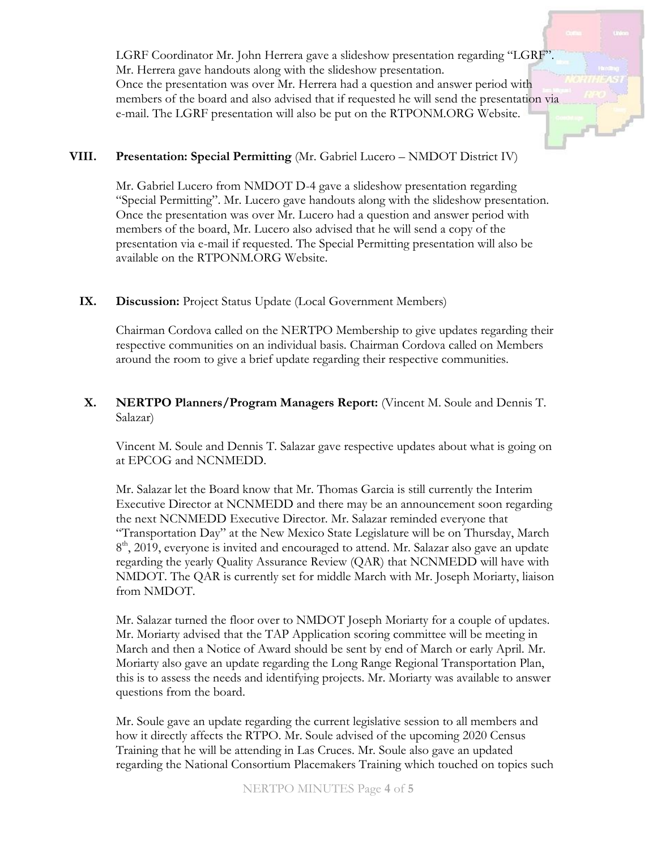LGRF Coordinator Mr. John Herrera gave a slideshow presentation regarding "LGRF". Mr. Herrera gave handouts along with the slideshow presentation. Once the presentation was over Mr. Herrera had a question and answer period with members of the board and also advised that if requested he will send the presentation via e-mail. The LGRF presentation will also be put on the RTPONM.ORG Website.

### **VIII. Presentation: Special Permitting** (Mr. Gabriel Lucero – NMDOT District IV)

Mr. Gabriel Lucero from NMDOT D-4 gave a slideshow presentation regarding "Special Permitting". Mr. Lucero gave handouts along with the slideshow presentation. Once the presentation was over Mr. Lucero had a question and answer period with members of the board, Mr. Lucero also advised that he will send a copy of the presentation via e-mail if requested. The Special Permitting presentation will also be available on the RTPONM.ORG Website.

#### IX. Discussion: Project Status Update (Local Government Members)

Chairman Cordova called on the NERTPO Membership to give updates regarding their respective communities on an individual basis. Chairman Cordova called on Members around the room to give a brief update regarding their respective communities.

### **X. NERTPO Planners/Program Managers Report:** (Vincent M. Soule and Dennis T. Salazar)

Vincent M. Soule and Dennis T. Salazar gave respective updates about what is going on at EPCOG and NCNMEDD.

Mr. Salazar let the Board know that Mr. Thomas Garcia is still currently the Interim Executive Director at NCNMEDD and there may be an announcement soon regarding the next NCNMEDD Executive Director. Mr. Salazar reminded everyone that "Transportation Day" at the New Mexico State Legislature will be on Thursday, March 8<sup>th</sup>, 2019, everyone is invited and encouraged to attend. Mr. Salazar also gave an update regarding the yearly Quality Assurance Review (QAR) that NCNMEDD will have with NMDOT. The QAR is currently set for middle March with Mr. Joseph Moriarty, liaison from NMDOT.

Mr. Salazar turned the floor over to NMDOT Joseph Moriarty for a couple of updates. Mr. Moriarty advised that the TAP Application scoring committee will be meeting in March and then a Notice of Award should be sent by end of March or early April. Mr. Moriarty also gave an update regarding the Long Range Regional Transportation Plan, this is to assess the needs and identifying projects. Mr. Moriarty was available to answer questions from the board.

Mr. Soule gave an update regarding the current legislative session to all members and how it directly affects the RTPO. Mr. Soule advised of the upcoming 2020 Census Training that he will be attending in Las Cruces. Mr. Soule also gave an updated regarding the National Consortium Placemakers Training which touched on topics such